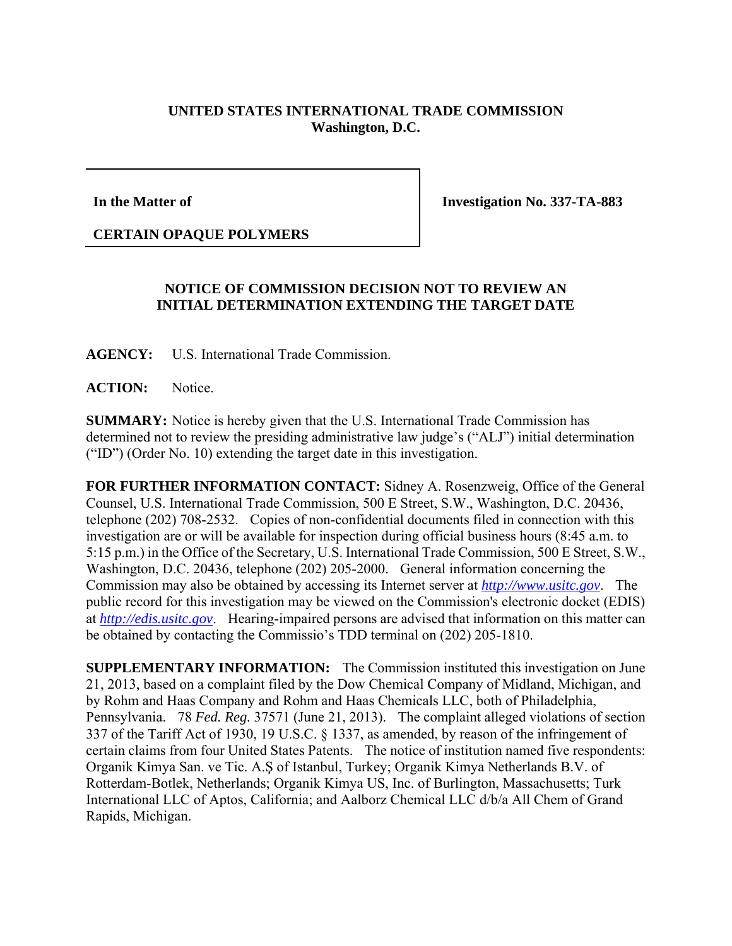## **UNITED STATES INTERNATIONAL TRADE COMMISSION Washington, D.C.**

## **In the Matter of**

**Investigation No. 337-TA-883** 

## **CERTAIN OPAQUE POLYMERS**

## **NOTICE OF COMMISSION DECISION NOT TO REVIEW AN INITIAL DETERMINATION EXTENDING THE TARGET DATE**

**AGENCY:** U.S. International Trade Commission.

**ACTION:** Notice.

**SUMMARY:** Notice is hereby given that the U.S. International Trade Commission has determined not to review the presiding administrative law judge's ("ALJ") initial determination ("ID") (Order No. 10) extending the target date in this investigation.

**FOR FURTHER INFORMATION CONTACT:** Sidney A. Rosenzweig, Office of the General Counsel, U.S. International Trade Commission, 500 E Street, S.W., Washington, D.C. 20436, telephone (202) 708-2532. Copies of non-confidential documents filed in connection with this investigation are or will be available for inspection during official business hours (8:45 a.m. to 5:15 p.m.) in the Office of the Secretary, U.S. International Trade Commission, 500 E Street, S.W., Washington, D.C. 20436, telephone (202) 205-2000. General information concerning the Commission may also be obtained by accessing its Internet server at *http://www.usitc.gov*. The public record for this investigation may be viewed on the Commission's electronic docket (EDIS) at *http://edis.usitc.gov*. Hearing-impaired persons are advised that information on this matter can be obtained by contacting the Commissio's TDD terminal on (202) 205-1810.

**SUPPLEMENTARY INFORMATION:** The Commission instituted this investigation on June 21, 2013, based on a complaint filed by the Dow Chemical Company of Midland, Michigan, and by Rohm and Haas Company and Rohm and Haas Chemicals LLC, both of Philadelphia, Pennsylvania. 78 *Fed. Reg.* 37571 (June 21, 2013). The complaint alleged violations of section 337 of the Tariff Act of 1930, 19 U.S.C. § 1337, as amended, by reason of the infringement of certain claims from four United States Patents. The notice of institution named five respondents: Organik Kimya San. ve Tic. A.Ş of Istanbul, Turkey; Organik Kimya Netherlands B.V. of Rotterdam-Botlek, Netherlands; Organik Kimya US, Inc. of Burlington, Massachusetts; Turk International LLC of Aptos, California; and Aalborz Chemical LLC d/b/a All Chem of Grand Rapids, Michigan.